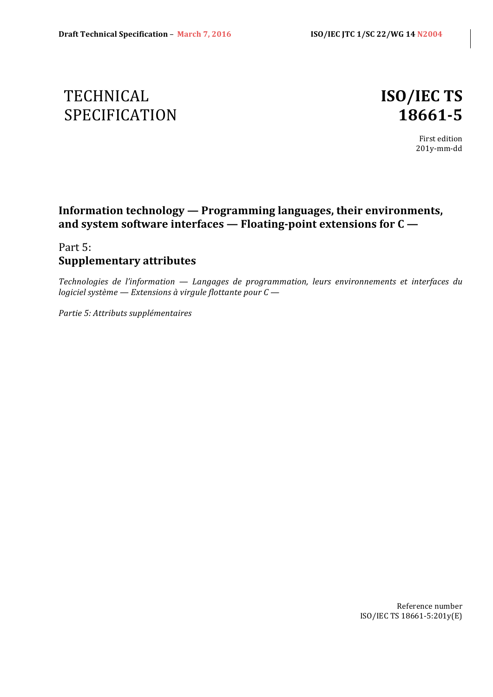# TECHNICAL **ISO/IEC TS** SPECIFICATION **18661-5**

First edition 201y-mm-dd

### **Information technology — Programming languages, their environments,** and system software interfaces — Floating-point extensions for C —

### Part 5: **Supplementary attributes**

*Technologies de l'information — Langages de programmation, leurs environnements et interfaces du logiciel système* — *Extensions* à virgule flottante pour  $C$  —

*Partie 5: Attributs supplémentaires*

Reference number ISO/IEC TS 18661-5:201y(E)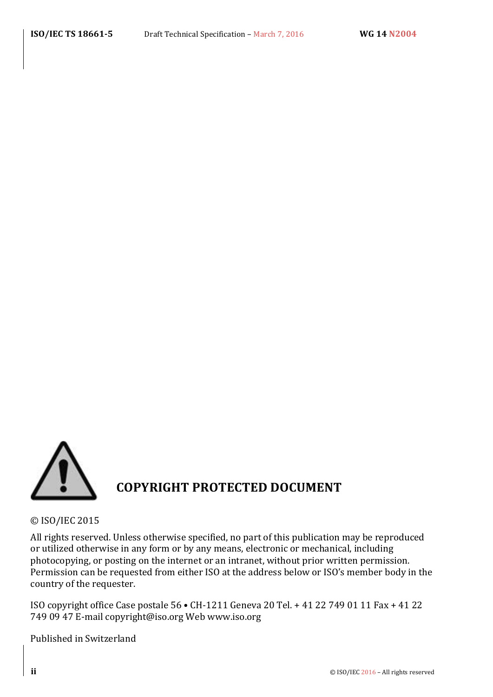

© ISO/IEC 2015 

All rights reserved. Unless otherwise specified, no part of this publication may be reproduced or utilized otherwise in any form or by any means, electronic or mechanical, including photocopying, or posting on the internet or an intranet, without prior written permission. Permission can be requested from either ISO at the address below or ISO's member body in the country of the requester.

ISO copyright office Case postale 56 • CH-1211 Geneva 20 Tel. + 41 22 749 01 11 Fax + 41 22 749 09 47 E-mail copyright@iso.org Web www.iso.org

Published in Switzerland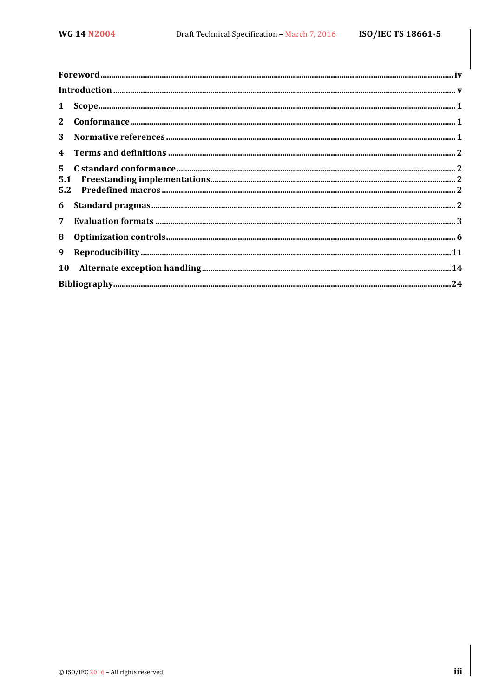| 3 <sup>1</sup>   |  |
|------------------|--|
|                  |  |
|                  |  |
|                  |  |
| 7 <sup>7</sup>   |  |
| 8                |  |
| $\boldsymbol{9}$ |  |
|                  |  |
|                  |  |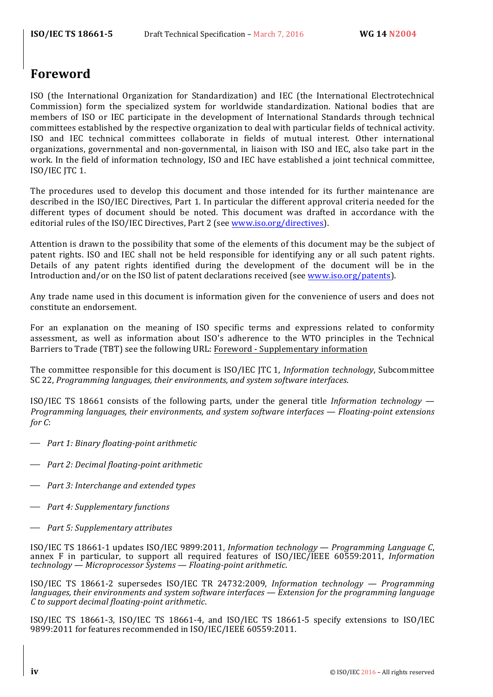### **Foreword**

ISO (the International Organization for Standardization) and IEC (the International Electrotechnical Commission) form the specialized system for worldwide standardization. National bodies that are members of ISO or IEC participate in the development of International Standards through technical committees established by the respective organization to deal with particular fields of technical activity. ISO and IEC technical committees collaborate in fields of mutual interest. Other international organizations, governmental and non-governmental, in liaison with ISO and IEC, also take part in the work. In the field of information technology, ISO and IEC have established a joint technical committee, ISO/IEC JTC 1.

The procedures used to develop this document and those intended for its further maintenance are described in the ISO/IEC Directives, Part 1. In particular the different approval criteria needed for the different types of document should be noted. This document was drafted in accordance with the editorial rules of the ISO/IEC Directives, Part 2 (see www.iso.org/directives).

Attention is drawn to the possibility that some of the elements of this document may be the subject of patent rights. ISO and IEC shall not be held responsible for identifying any or all such patent rights. Details of any patent rights identified during the development of the document will be in the Introduction and/or on the ISO list of patent declarations received (see www.iso.org/patents).

Any trade name used in this document is information given for the convenience of users and does not constitute an endorsement.

For an explanation on the meaning of ISO specific terms and expressions related to conformity assessment, as well as information about ISO's adherence to the WTO principles in the Technical Barriers to Trade (TBT) see the following URL: Foreword - Supplementary information

The committee responsible for this document is ISO/IEC JTC 1, *Information technology*, Subcommittee SC 22, *Programming languages, their environments, and system software interfaces.* 

ISO/IEC TS 18661 consists of the following parts, under the general title *Information technology — Programming languages, their environments, and system software interfaces — Floating-point extensions for* C:

- ⎯ *Part 1: Binary floating-point arithmetic*
- $\rightarrow$  *Part 2: Decimal floating-point arithmetic*
- $\rightarrow$  *Part 3: Interchange and extended types*
- ⎯ *Part 4: Supplementary functions*
- ⎯ *Part 5: Supplementary attributes*

ISO/IEC TS 18661-1 updates ISO/IEC 9899:2011, *Information technology — Programming Language C*, annex F in particular, to support all required features of ISO/IEC/IEEE 60559:2011, *Information technology — Microprocessor Systems — Floating-point arithmetic*.

ISO/IEC TS 18661-2 supersedes ISO/IEC TR 24732:2009, *Information technology — Programming languages, their environments and system software interfaces — Extension for the programming language C to support decimal floating-point arithmetic*.

ISO/IEC TS 18661-3, ISO/IEC TS 18661-4, and ISO/IEC TS 18661-5 specify extensions to ISO/IEC 9899:2011 for features recommended in ISO/IEC/IEEE 60559:2011.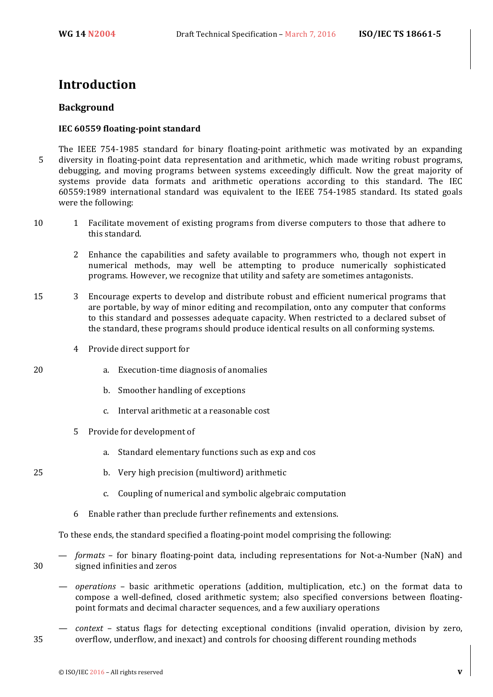### **Introduction**

#### **Background**

#### **IEC 60559 floating-point standard**

The IEEE 754-1985 standard for binary floating-point arithmetic was motivated by an expanding 5 diversity in floating-point data representation and arithmetic, which made writing robust programs, debugging, and moving programs between systems exceedingly difficult. Now the great majority of systems provide data formats and arithmetic operations according to this standard. The IEC 60559:1989 international standard was equivalent to the IEEE 754-1985 standard. Its stated goals were the following:

- 10 1 Facilitate movement of existing programs from diverse computers to those that adhere to this standard.
	- 2 Enhance the capabilities and safety available to programmers who, though not expert in numerical methods, may well be attempting to produce numerically sophisticated programs. However, we recognize that utility and safety are sometimes antagonists.
- 15 3 Encourage experts to develop and distribute robust and efficient numerical programs that are portable, by way of minor editing and recompilation, onto any computer that conforms to this standard and possesses adequate capacity. When restricted to a declared subset of the standard, these programs should produce identical results on all conforming systems.
	- 4 Provide direct support for
- 20 a. Execution-time diagnosis of anomalies
	- b. Smoother handling of exceptions
	- c. Interval arithmetic at a reasonable cost
	- 5 Provide for development of
		- a. Standard elementary functions such as exp and cos
- 25 b. Very high precision (multiword) arithmetic
	- c. Coupling of numerical and symbolic algebraic computation
	- 6 Enable rather than preclude further refinements and extensions.

To these ends, the standard specified a floating-point model comprising the following:

- *formats* for binary floating-point data, including representations for Not-a-Number (NaN) and 30 signed infinities and zeros
	- *operations* basic arithmetic operations (addition, multiplication, etc.) on the format data to compose a well-defined, closed arithmetic system; also specified conversions between floatingpoint formats and decimal character sequences, and a few auxiliary operations
- *context* status flags for detecting exceptional conditions (invalid operation, division by zero, 35 overflow, underflow, and inexact) and controls for choosing different rounding methods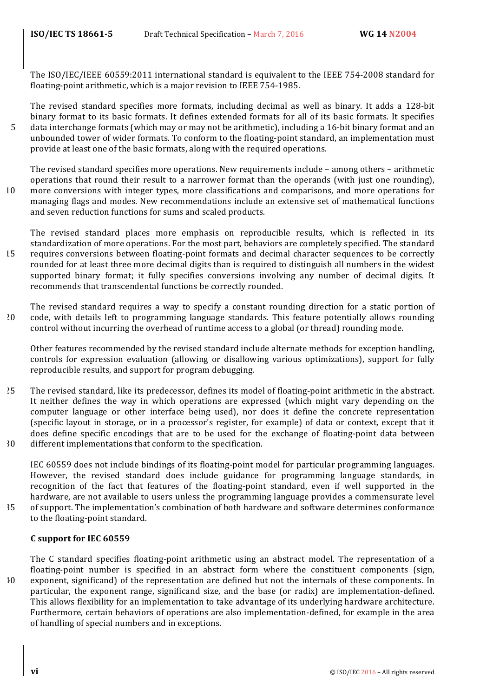The ISO/IEC/IEEE 60559:2011 international standard is equivalent to the IEEE 754-2008 standard for floating-point arithmetic, which is a major revision to IEEE 754-1985.

The revised standard specifies more formats, including decimal as well as binary. It adds a 128-bit binary format to its basic formats. It defines extended formats for all of its basic formats. It specifies 5 data interchange formats (which may or may not be arithmetic), including a 16-bit binary format and an unbounded tower of wider formats. To conform to the floating-point standard, an implementation must provide at least one of the basic formats, along with the required operations.

The revised standard specifies more operations. New requirements include  $-$  among others  $-$  arithmetic operations that round their result to a narrower format than the operands (with just one rounding), 10 more conversions with integer types, more classifications and comparisons, and more operations for

managing flags and modes. New recommendations include an extensive set of mathematical functions and seven reduction functions for sums and scaled products.

The revised standard places more emphasis on reproducible results, which is reflected in its standardization of more operations. For the most part, behaviors are completely specified. The standard 15 requires conversions between floating-point formats and decimal character sequences to be correctly rounded for at least three more decimal digits than is required to distinguish all numbers in the widest supported binary format; it fully specifies conversions involving any number of decimal digits. It recommends that transcendental functions be correctly rounded.

The revised standard requires a way to specify a constant rounding direction for a static portion of 20 code, with details left to programming language standards. This feature potentially allows rounding control without incurring the overhead of runtime access to a global (or thread) rounding mode.

Other features recommended by the revised standard include alternate methods for exception handling, controls for expression evaluation (allowing or disallowing various optimizations), support for fully reproducible results, and support for program debugging.

- 25 The revised standard, like its predecessor, defines its model of floating-point arithmetic in the abstract. It neither defines the way in which operations are expressed (which might vary depending on the computer language or other interface being used), nor does it define the concrete representation (specific layout in storage, or in a processor's register, for example) of data or context, except that it does define specific encodings that are to be used for the exchange of floating-point data between 30 different implementations that conform to the specification.
- IEC 60559 does not include bindings of its floating-point model for particular programming languages. However, the revised standard does include guidance for programming language standards, in recognition of the fact that features of the floating-point standard, even if well supported in the hardware, are not available to users unless the programming language provides a commensurate level 35 of support. The implementation's combination of both hardware and software determines conformance
- to the floating-point standard.

#### **C support for IEC 60559**

The C standard specifies floating-point arithmetic using an abstract model. The representation of a floating-point number is specified in an abstract form where the constituent components (sign, 40 exponent, significand) of the representation are defined but not the internals of these components. In particular, the exponent range, significand size, and the base (or radix) are implementation-defined. This allows flexibility for an implementation to take advantage of its underlying hardware architecture. Furthermore, certain behaviors of operations are also implementation-defined, for example in the area of handling of special numbers and in exceptions.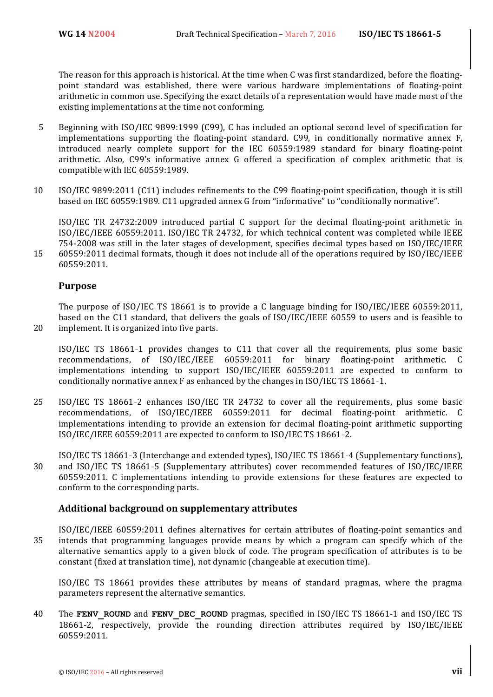The reason for this approach is historical. At the time when C was first standardized, before the floatingpoint standard was established, there were various hardware implementations of floating-point arithmetic in common use. Specifying the exact details of a representation would have made most of the existing implementations at the time not conforming.

- 5 Beginning with ISO/IEC 9899:1999 (C99), C has included an optional second level of specification for implementations supporting the floating-point standard. C99, in conditionally normative annex F, introduced nearly complete support for the IEC  $60559:1989$  standard for binary floating-point arithmetic. Also, C99's informative annex G offered a specification of complex arithmetic that is compatible with IEC 60559:1989.
- 10 ISO/IEC 9899:2011 (C11) includes refinements to the C99 floating-point specification, though it is still based on IEC 60559:1989. C11 upgraded annex G from "informative" to "conditionally normative".

ISO/IEC TR 24732:2009 introduced partial C support for the decimal floating-point arithmetic in ISO/IEC/IEEE 60559:2011. ISO/IEC TR 24732, for which technical content was completed while IEEE 754-2008 was still in the later stages of development, specifies decimal types based on ISO/IEC/IEEE 15 60559:2011 decimal formats, though it does not include all of the operations required by ISO/IEC/IEEE 60559:2011.

#### **Purpose**

The purpose of  $ISO/IEC$  TS 18661 is to provide a C language binding for  $ISO/IEC/IEEE$  60559:2011, based on the C11 standard, that delivers the goals of ISO/IEC/IEEE 60559 to users and is feasible to 20 implement. It is organized into five parts.

ISO/IEC TS 18661-1 provides changes to C11 that cover all the requirements, plus some basic recommendations, of ISO/IEC/IEEE 60559:2011 for binary floating-point arithmetic. C implementations intending to support ISO/IEC/IEEE 60559:2011 are expected to conform to conditionally normative annex  $F$  as enhanced by the changes in ISO/IEC TS 18661-1.

- 25 ISO/IEC TS 18661-2 enhances ISO/IEC TR 24732 to cover all the requirements, plus some basic recommendations, of ISO/IEC/IEEE 60559:2011 for decimal floating-point arithmetic. C implementations intending to provide an extension for decimal floating-point arithmetic supporting  $ISO/IECE 60559:2011$  are expected to conform to  $ISO/IEC$  TS 18661-2.
- ISO/IEC TS 18661-3 (Interchange and extended types), ISO/IEC TS 18661-4 (Supplementary functions), 30 and ISO/IEC TS 18661-5 (Supplementary attributes) cover recommended features of ISO/IEC/IEEE 60559:2011. C implementations intending to provide extensions for these features are expected to conform to the corresponding parts.

#### **Additional background on supplementary attributes**

ISO/IEC/IEEE 60559:2011 defines alternatives for certain attributes of floating-point semantics and 35 intends that programming languages provide means by which a program can specify which of the alternative semantics apply to a given block of code. The program specification of attributes is to be constant (fixed at translation time), not dynamic (changeable at execution time).

ISO/IEC TS 18661 provides these attributes by means of standard pragmas, where the pragma parameters represent the alternative semantics.

40 The **FENV** ROUND and **FENV** DEC ROUND pragmas, specified in ISO/IEC TS 18661-1 and ISO/IEC TS 18661-2, respectively, provide the rounding direction attributes required by ISO/IEC/IEEE 60559:2011.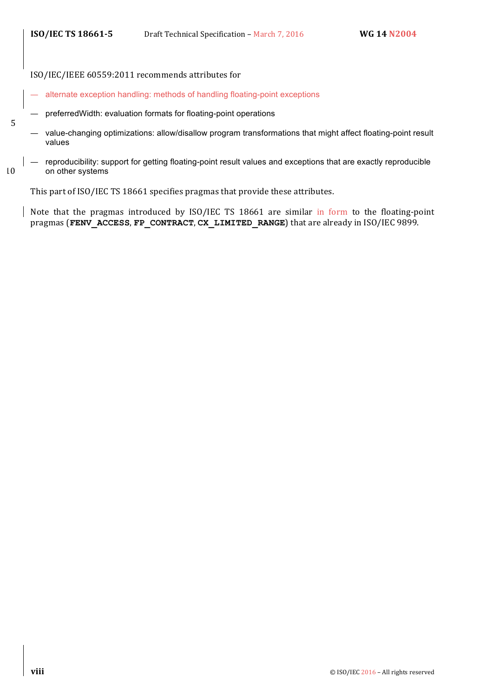5

ISO/IEC/IEEE 60559:2011 recommends attributes for

- alternate exception handling: methods of handling floating-point exceptions
- preferredWidth: evaluation formats for floating-point operations
- value-changing optimizations: allow/disallow program transformations that might affect floating-point result values
- reproducibility: support for getting floating-point result values and exceptions that are exactly reproducible 10 on other systems

This part of ISO/IEC TS 18661 specifies pragmas that provide these attributes.

Note that the pragmas introduced by ISO/IEC TS 18661 are similar in form to the floating-point pragmas (FENV\_ACCESS, FP\_CONTRACT, CX\_LIMITED\_RANGE) that are already in ISO/IEC 9899.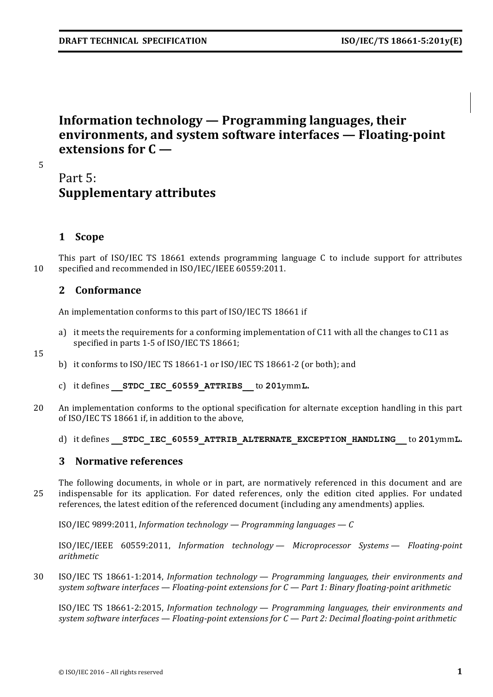## **Information technology — Programming languages, their environments, and system software interfaces — Floating-point extensions for C —**

5

### Part 5: **Supplementary attributes**

### **1 Scope**

This part of ISO/IEC TS 18661 extends programming language C to include support for attributes 10 specified and recommended in ISO/IEC/IEEE 60559:2011.

### **2 Conformance**

An implementation conforms to this part of ISO/IEC TS 18661 if

a) it meets the requirements for a conforming implementation of  $C11$  with all the changes to  $C11$  as specified in parts 1-5 of ISO/IEC TS 18661;

15

- b) it conforms to ISO/IEC TS 18661-1 or ISO/IEC TS 18661-2 (or both); and
- c) it defines **\_\_STDC\_IEC\_60559\_ATTRIBS\_\_** to **201**ymm**L.**
- 20 An implementation conforms to the optional specification for alternate exception handling in this part of ISO/IEC TS 18661 if, in addition to the above,
	- d) it defines **STDC IEC 60559 ATTRIB ALTERNATE EXCEPTION HANDLING** to 201ymmL.

#### **3** Normative references

The following documents, in whole or in part, are normatively referenced in this document and are 25 indispensable for its application. For dated references, only the edition cited applies. For undated references, the latest edition of the referenced document (including any amendments) applies.

ISO/IEC 9899:2011, *Information technology* — *Programming languages* — *C* 

ISO/IEC/IEEE 60559:2011, *Information technology — Microprocessor Systems — Floating-point arithmetic*

30 ISO/IEC TS 18661-1:2014, *Information technology* — *Programming languages, their environments and system software interfaces — Floating-point extensions for C — Part 1: Binary floating-point arithmetic*

ISO/IEC TS 18661-2:2015, *Information technology — Programming languages, their environments and system software interfaces — Floating-point extensions for C — Part 2: Decimal floating-point arithmetic*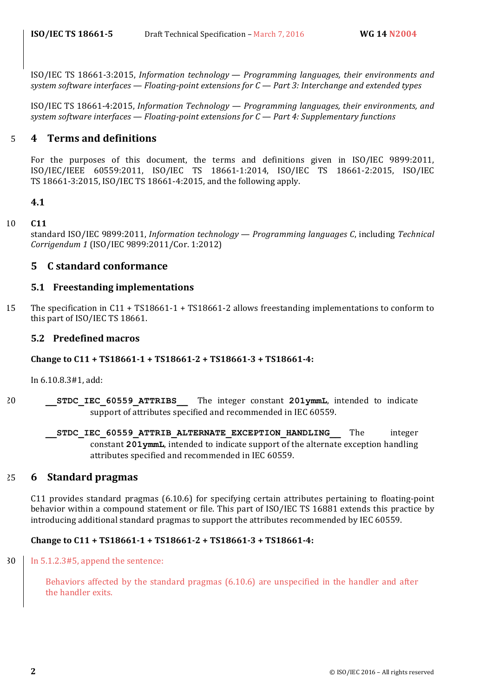ISO/IEC TS 18661-3:2015, *Information technology* — *Programming languages, their environments and system software interfaces* — *Floating-point extensions for C* — Part 3: Interchange and extended types

ISO/IEC TS 18661-4:2015, *Information Technology — Programming languages, their environments, and system software interfaces* — *Floating-point extensions for C* — *Part 4: Supplementary functions* 

#### 5 **4 Terms and definitions**

For the purposes of this document, the terms and definitions given in ISO/IEC 9899:2011, ISO/IEC/IEEE 60559:2011, ISO/IEC TS 18661-1:2014, ISO/IEC TS 18661-2:2015, ISO/IEC TS 18661-3:2015, ISO/IEC TS 18661-4:2015, and the following apply.

#### **4.1**

#### 10 **C11**

standard ISO/IEC 9899:2011, *Information technology — Programming languages C*, including *Technical Corrigendum 1* (ISO/IEC 9899:2011/Cor. 1:2012)

#### **5 C standard conformance**

#### **5.1 Freestanding implementations**

15 The specification in C11 + TS18661-1 + TS18661-2 allows freestanding implementations to conform to this part of ISO/IEC TS 18661.

#### **5.2 Predefined macros**

#### **Change to C11 + TS18661-1 + TS18661-2 + TS18661-3 + TS18661-4:**

In 6.10.8.3#1, add:

- 20 **STDC IEC 60559 ATTRIBS** The integer constant **201ymmL**, intended to indicate support of attributes specified and recommended in IEC 60559.
	- **STDC IEC 60559 ATTRIB ALTERNATE EXCEPTION HANDLING** The integer constant 201ymmL, intended to indicate support of the alternate exception handling attributes specified and recommended in IEC 60559.

#### 25 **6 Standard pragmas**

C11 provides standard pragmas  $(6.10.6)$  for specifying certain attributes pertaining to floating-point behavior within a compound statement or file. This part of ISO/IEC TS 16881 extends this practice by introducing additional standard pragmas to support the attributes recommended by IEC 60559.

#### Change to C11 + TS18661-1 + TS18661-2 + TS18661-3 + TS18661-4:

 $30$  In 5.1.2.3#5, append the sentence:

Behaviors affected by the standard pragmas  $(6.10.6)$  are unspecified in the handler and after the handler exits.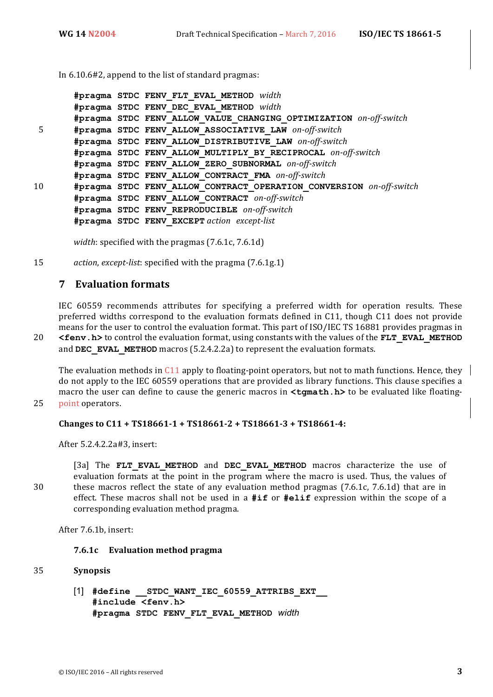In  $6.10.6\#2$ , append to the list of standard pragmas:

```
#pragma STDC FENV_FLT_EVAL_METHOD width
       #pragma STDC FENV_DEC_EVAL_METHOD width
       #pragma STDC FENV_ALLOW_VALUE_CHANGING_OPTIMIZATION on-off-switch
 5 #pragma STDC FENV_ALLOW_ASSOCIATIVE_LAW on-off-switch
       #pragma STDC FENV_ALLOW_DISTRIBUTIVE_LAW on-off-switch
       #pragma STDC FENV_ALLOW_MULTIPLY_BY_RECIPROCAL on-off-switch
       #pragma STDC FENV_ALLOW_ZERO_SUBNORMAL on-off-switch
       #pragma STDC FENV_ALLOW_CONTRACT_FMA on-off-switch
10 #pragma STDC FENV_ALLOW_CONTRACT_OPERATION_CONVERSION on-off-switch
       #pragma STDC FENV_ALLOW_CONTRACT on-off-switch
       #pragma STDC FENV_REPRODUCIBLE on-off-switch
       #pragma STDC FENV_EXCEPT action except-list
```
*width*: specified with the pragmas (7.6.1c, 7.6.1d)

15 *action, except-list:* specified with the pragma (7.6.1g.1)

#### **7 Evaluation formats**

IEC 60559 recommends attributes for specifying a preferred width for operation results. These preferred widths correspond to the evaluation formats defined in C11, though C11 does not provide means for the user to control the evaluation format. This part of ISO/IEC TS 16881 provides pragmas in 20 <fenv.h> to control the evaluation format, using constants with the values of the FLT\_EVAL\_METHOD and **DEC\_EVAL\_METHOD** macros (5.2.4.2.2a) to represent the evaluation formats.

The evaluation methods in C11 apply to floating-point operators, but not to math functions. Hence, they  $\parallel$ do not apply to the IEC 60559 operations that are provided as library functions. This clause specifies a macro the user can define to cause the generic macros in **<tgmath.h>** to be evaluated like floating-25 point operators.

#### **Changes to C11 + TS18661-1 + TS18661-2 + TS18661-3 + TS18661-4:**

After 5.2.4.2.2a#3, insert:

[3a] The FLT EVAL METHOD and DEC EVAL METHOD macros characterize the use of evaluation formats at the point in the program where the macro is used. Thus, the values of 30 these macros reflect the state of any evaluation method pragmas (7.6.1c, 7.6.1d) that are in effect. These macros shall not be used in a #if or #elif expression within the scope of a corresponding evaluation method pragma.

After 7.6.1b, insert:

#### **7.6.1c Evaluation method pragma**

#### 35 **Synopsis**

[1] **#define \_\_STDC\_WANT\_IEC\_60559\_ATTRIBS\_EXT\_\_ #include <fenv.h> #pragma STDC FENV\_FLT\_EVAL\_METHOD** *width*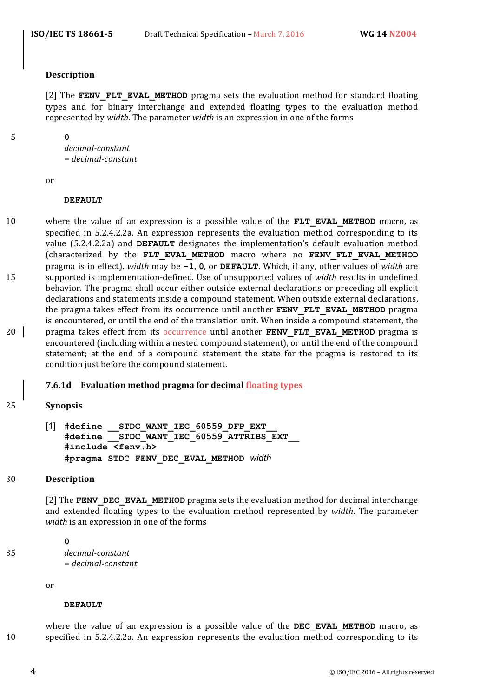#### **Description**

[2] The **FENV FLT EVAL METHOD** pragma sets the evaluation method for standard floating types and for binary interchange and extended floating types to the evaluation method represented by *width*. The parameter *width* is an expression in one of the forms

5 **0**

*decimal-constant* **−** *decimal-constant*

or

#### **DEFAULT**

10 where the value of an expression is a possible value of the **FLT EVAL METHOD** macro, as specified in  $5.2.4.2.2a$ . An expression represents the evaluation method corresponding to its value (5.2.4.2.2a) and **DEFAULT** designates the implementation's default evaluation method (characterized by the FLT EVAL METHOD macro where no FENV FLT EVAL METHOD pragma is in effect). *width* may be -1, 0, or DEFAULT. Which, if any, other values of *width* are 15 supported is implementation-defined. Use of unsupported values of *width* results in undefined behavior. The pragma shall occur either outside external declarations or preceding all explicit declarations and statements inside a compound statement. When outside external declarations, the pragma takes effect from its occurrence until another **FENV FLT EVAL METHOD** pragma is encountered, or until the end of the translation unit. When inside a compound statement, the 20 **pragma** takes effect from its occurrence until another **FENV FLT EVAL METHOD** pragma is encountered (including within a nested compound statement), or until the end of the compound statement; at the end of a compound statement the state for the pragma is restored to its condition just before the compound statement.

#### **7.6.1d Evaluation method pragma for decimal floating types**

#### 25 **Synopsis**

[1] **#define \_\_STDC\_WANT\_IEC\_60559\_DFP\_EXT\_\_ #define \_\_STDC\_WANT\_IEC\_60559\_ATTRIBS\_EXT\_\_ #include <fenv.h> #pragma STDC FENV\_DEC\_EVAL\_METHOD** *width*

#### 30 **Description**

[2] The **FENV** DEC EVAL METHOD pragma sets the evaluation method for decimal interchange and extended floating types to the evaluation method represented by *width*. The parameter *width* is an expression in one of the forms

#### **0**

35 *decimal-constant* **−** *decimal-constant*

or

#### **DEFAULT**

where the value of an expression is a possible value of the **DEC\_EVAL\_METHOD** macro, as 40 specified in 5.2.4.2.2a. An expression represents the evaluation method corresponding to its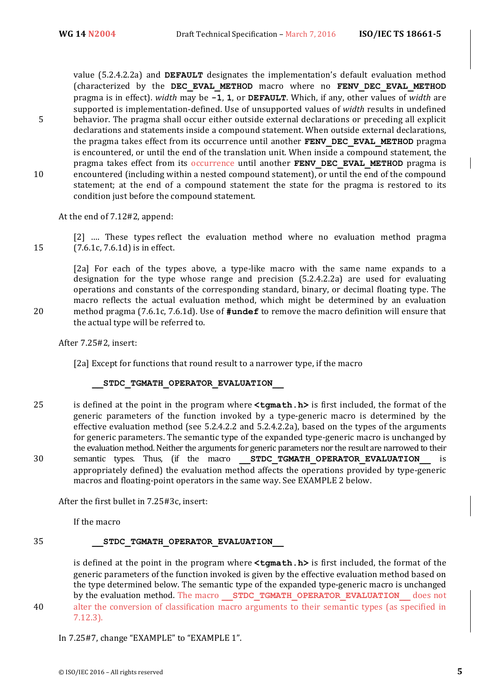value (5.2.4.2.2a) and **DEFAULT** designates the implementation's default evaluation method (characterized by the **DEC\_EVAL\_METHOD** macro where no **FENV\_DEC\_EVAL\_METHOD** pragma is in effect). *width* may be **-1**, **1**, or **DEFAULT**. Which, if any, other values of *width* are supported is implementation-defined. Use of unsupported values of *width* results in undefined 5 behavior. The pragma shall occur either outside external declarations or preceding all explicit declarations and statements inside a compound statement. When outside external declarations, the pragma takes effect from its occurrence until another **FENV DEC EVAL METHOD** pragma is encountered, or until the end of the translation unit. When inside a compound statement, the pragma takes effect from its occurrence until another **FENV DEC EVAL METHOD** pragma is 10 encountered (including within a nested compound statement), or until the end of the compound statement; at the end of a compound statement the state for the pragma is restored to its condition just before the compound statement.

At the end of 7.12#2, append:

[2] .... These types reflect the evaluation method where no evaluation method pragma 15 (7.6.1c, 7.6.1d) is in effect.

[2a] For each of the types above, a type-like macro with the same name expands to a designation for the type whose range and precision  $(5.2.4.2.2a)$  are used for evaluating operations and constants of the corresponding standard, binary, or decimal floating type. The macro reflects the actual evaluation method, which might be determined by an evaluation 20 method pragma (7.6.1c, 7.6.1d). Use of **#undef** to remove the macro definition will ensure that the actual type will be referred to.

After 7.25#2, insert:

[2a] Except for functions that round result to a narrower type, if the macro

**\_\_STDC\_TGMATH\_OPERATOR\_EVALUATION\_\_**

25 is defined at the point in the program where  $\texttt{cymath.h>}$  is first included, the format of the generic parameters of the function invoked by a type-generic macro is determined by the effective evaluation method (see  $5.2.4.2.2$  and  $5.2.4.2.2a$ ), based on the types of the arguments for generic parameters. The semantic type of the expanded type-generic macro is unchanged by the evaluation method. Neither the arguments for generic parameters nor the result are narrowed to their 30 semantic types. Thus, (if the macro **STDC TGMATH OPERATOR EVALUATION** is appropriately defined) the evaluation method affects the operations provided by type-generic macros and floating-point operators in the same way. See EXAMPLE 2 below.

After the first bullet in 7.25#3c, insert:

If the macro

#### 35 **\_\_STDC\_TGMATH\_OPERATOR\_EVALUATION\_\_**

is defined at the point in the program where **<tqmath.h>** is first included, the format of the generic parameters of the function invoked is given by the effective evaluation method based on the type determined below. The semantic type of the expanded type-generic macro is unchanged by the evaluation method. The macro **STDC TGMATH OPERATOR EVALUATION** does not

40 alter the conversion of classification macro arguments to their semantic types (as specified in 7.12.3).

In 7.25#7, change "EXAMPLE" to "EXAMPLE 1".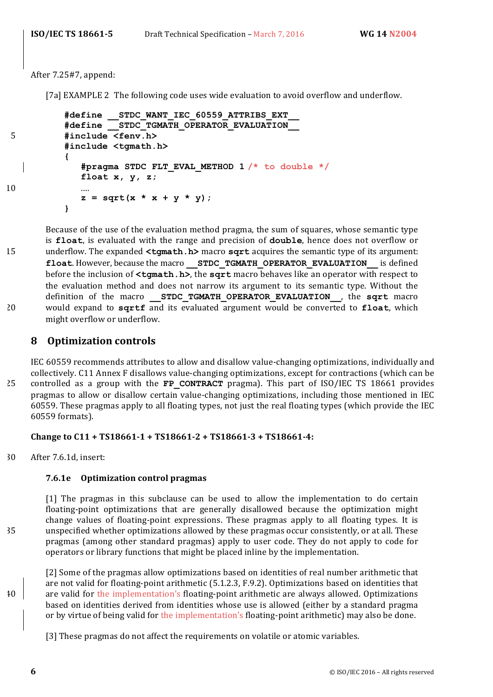After 7.25#7, append:

[7a] EXAMPLE 2 The following code uses wide evaluation to avoid overflow and underflow.

```
#define __STDC_WANT_IEC_60559_ATTRIBS_EXT__
          #define __STDC_TGMATH_OPERATOR_EVALUATION__
5 #include <fenv.h>
          #include <tgmath.h>
          {
             #pragma STDC FLT_EVAL_METHOD 1 /* to double */
            float x, y, z;
10 ….
             z = sqrt(x * x + y * y);}
```
Because of the use of the evaluation method pragma, the sum of squares, whose semantic type is **float**, is evaluated with the range and precision of **double**, hence does not overflow or 15 underflow. The expanded  $\text{tymath.h}$  macro **sqrt** acquires the semantic type of its argument: **float.** However, because the macro **STDC TGMATH OPERATOR EVALUATION** is defined **before the inclusion of**  $\text{<}$ **tgmath.h>**, the sqrt macro behaves like an operator with respect to the evaluation method and does not narrow its argument to its semantic type. Without the definition of the macro **STDC TGMATH OPERATOR EVALUATION**, the **sqrt** macro 20 would expand to sqrtf and its evaluated argument would be converted to float, which might overflow or underflow.

#### **8 Optimization controls**

IEC 60559 recommends attributes to allow and disallow value-changing optimizations, individually and collectively. C11 Annex F disallows value-changing optimizations, except for contractions (which can be 25 controlled as a group with the FP\_CONTRACT pragma). This part of ISO/IEC TS 18661 provides pragmas to allow or disallow certain value-changing optimizations, including those mentioned in IEC 60559. These pragmas apply to all floating types, not just the real floating types (which provide the IEC 60559 formats).

#### **Change to C11 + TS18661-1 + TS18661-2 + TS18661-3 + TS18661-4:**

30 After 7.6.1d, insert:

#### **7.6.1e Optimization control pragmas**

[1] The pragmas in this subclause can be used to allow the implementation to do certain floating-point optimizations that are generally disallowed because the optimization might change values of floating-point expressions. These pragmas apply to all floating types. It is 35 unspecified whether optimizations allowed by these pragmas occur consistently, or at all. These pragmas (among other standard pragmas) apply to user code. They do not apply to code for operators or library functions that might be placed inline by the implementation.

[2] Some of the pragmas allow optimizations based on identities of real number arithmetic that are not valid for floating-point arithmetic (5.1.2.3, F.9.2). Optimizations based on identities that  $\frac{40}{10}$  are valid for the implementation's floating-point arithmetic are always allowed. Optimizations based on identities derived from identities whose use is allowed (either by a standard pragma or by virtue of being valid for the implementation's floating-point arithmetic) may also be done.

[3] These pragmas do not affect the requirements on volatile or atomic variables.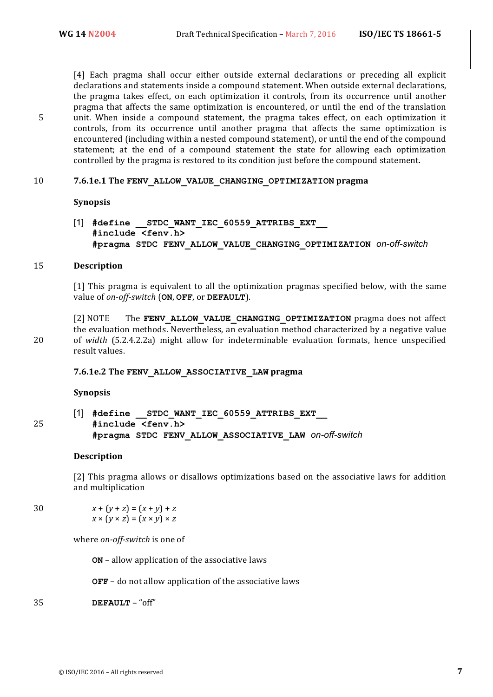[4] Each pragma shall occur either outside external declarations or preceding all explicit declarations and statements inside a compound statement. When outside external declarations, the pragma takes effect, on each optimization it controls, from its occurrence until another pragma that affects the same optimization is encountered, or until the end of the translation 5 unit. When inside a compound statement, the pragma takes effect, on each optimization it controls, from its occurrence until another pragma that affects the same optimization is encountered (including within a nested compound statement), or until the end of the compound statement; at the end of a compound statement the state for allowing each optimization controlled by the pragma is restored to its condition just before the compound statement.

#### 10 7.6.1e.1 The FENV ALLOW VALUE CHANGING OPTIMIZATION pragma

#### **Synopsis**

[1] **#define \_\_STDC\_WANT\_IEC\_60559\_ATTRIBS\_EXT\_\_ #include <fenv.h> #pragma STDC FENV\_ALLOW\_VALUE\_CHANGING\_OPTIMIZATION** *on-off-switch*

#### 15 **Description**

[1] This pragma is equivalent to all the optimization pragmas specified below, with the same value of *on-off-switch* (ON, OFF, or DEFAULT).

[2] NOTE The **FENV ALLOW VALUE CHANGING OPTIMIZATION** pragma does not affect the evaluation methods. Nevertheless, an evaluation method characterized by a negative value 20 of *width* (5.2.4.2.2a) might allow for indeterminable evaluation formats, hence unspecified result values.

#### **7.6.1e.2 The FENV\_ALLOW\_ASSOCIATIVE\_LAW pragma**

#### **Synopsis**

[1] **#define \_\_STDC\_WANT\_IEC\_60559\_ATTRIBS\_EXT\_\_** 25 **#include <fenv.h> #pragma STDC FENV\_ALLOW\_ASSOCIATIVE\_LAW** *on-off-switch*

#### **Description**

[2] This pragma allows or disallows optimizations based on the associative laws for addition and multiplication

30  $x + (y + z) = (x + y) + z$  $x \times (y \times z) = (x \times y) \times z$ 

where *on-off-switch* is one of

**ON** – allow application of the associative laws

**OFF** – do not allow application of the associative laws

35 **DEFAULT** – "off"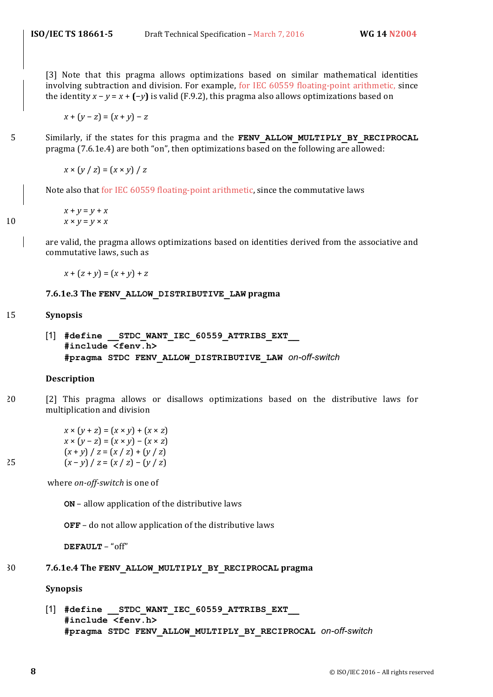[3] Note that this pragma allows optimizations based on similar mathematical identities involving subtraction and division. For example, for IEC 60559 floating-point arithmetic, since the identity  $x - y = x + (-y)$  is valid (F.9.2), this pragma also allows optimizations based on

 $x + (y - z) = (x + y) - z$ 

5 Similarly, if the states for this pragma and the **FENV ALLOW MULTIPLY BY RECIPROCAL** pragma (7.6.1e.4) are both "on", then optimizations based on the following are allowed:

 $x \times (y / z) = (x \times y) / z$ 

Note also that for IEC 60559 floating-point arithmetic, since the commutative laws

$$
x + y = y + x
$$
  
10 
$$
x \times y = y \times x
$$

are valid, the pragma allows optimizations based on identities derived from the associative and commutative laws, such as

 $x + (z + y) = (x + y) + z$ 

#### **7.6.1e.3 The FENV\_ALLOW\_DISTRIBUTIVE\_LAW pragma**

#### 15 **Synopsis**

[1] **#define \_\_STDC\_WANT\_IEC\_60559\_ATTRIBS\_EXT\_\_ #include <fenv.h> #pragma STDC FENV\_ALLOW\_DISTRIBUTIVE\_LAW** *on-off-switch*

#### **Description**

20 [2] This pragma allows or disallows optimizations based on the distributive laws for multiplication and division

 $x \times (y + z) = (x \times y) + (x \times z)$  $x \times (y - z) = (x \times y) - (x \times z)$  $(x + y) / z = (x / z) + (y / z)$ 25  $(x - y) / z = (x / z) - (y / z)$ 

where on-off-switch is one of

**ON** – allow application of the distributive laws

**OFF** – do not allow application of the distributive laws

**DEFAULT** – "off"

#### 30 7.6.1e.4 The FENV ALLOW MULTIPLY BY RECIPROCAL pragma

**Synopsis**

[1] **#define \_\_STDC\_WANT\_IEC\_60559\_ATTRIBS\_EXT\_\_ #include <fenv.h> #pragma STDC FENV\_ALLOW\_MULTIPLY\_BY\_RECIPROCAL** *on-off-switch*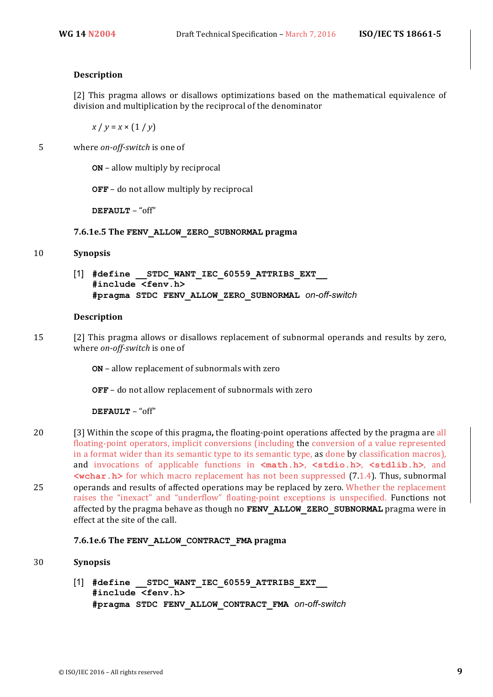#### **Description**

[2] This pragma allows or disallows optimizations based on the mathematical equivalence of division and multiplication by the reciprocal of the denominator

 $x / y = x \times (1 / y)$ 

5 where *on-off-switch* is one of

**ON** – allow multiply by reciprocal

**OFF** – do not allow multiply by reciprocal

**DEFAULT** – "off"

#### **7.6.1e.5 The FENV\_ALLOW\_ZERO\_SUBNORMAL pragma**

#### 10 **Synopsis**

[1] **#define \_\_STDC\_WANT\_IEC\_60559\_ATTRIBS\_EXT\_\_ #include <fenv.h> #pragma STDC FENV\_ALLOW\_ZERO\_SUBNORMAL** *on-off-switch*

#### **Description**

15 [2] This pragma allows or disallows replacement of subnormal operands and results by zero, where *on-off-switch* is one of

**ON** – allow replacement of subnormals with zero

**OFF** – do not allow replacement of subnormals with zero

**DEFAULT** – "off"

20 [3] Within the scope of this pragma, the floating-point operations affected by the pragma are all floating-point operators, implicit conversions (including the conversion of a value represented in a format wider than its semantic type to its semantic type, as done by classification macros), and invocations of applicable functions in  $\text{ $math.h}$ , \text{ $stdio.h}$ , \text{ $stdlib.h$ }, and$  $\leq$ wchar.h> for which macro replacement has not been suppressed (7.1.4). Thus, subnormal 25 operands and results of affected operations may be replaced by zero. Whether the replacement raises the "inexact" and "underflow" floating-point exceptions is unspecified. Functions not affected by the pragma behave as though no FENV ALLOW ZERO SUBNORMAL pragma were in effect at the site of the call.

#### **7.6.1e.6 The FENV\_ALLOW\_CONTRACT\_FMA pragma**

#### 30 **Synopsis**

[1] #define STDC WANT IEC 60559 ATTRIBS EXT **#include <fenv.h> #pragma STDC FENV\_ALLOW\_CONTRACT\_FMA** *on-off-switch*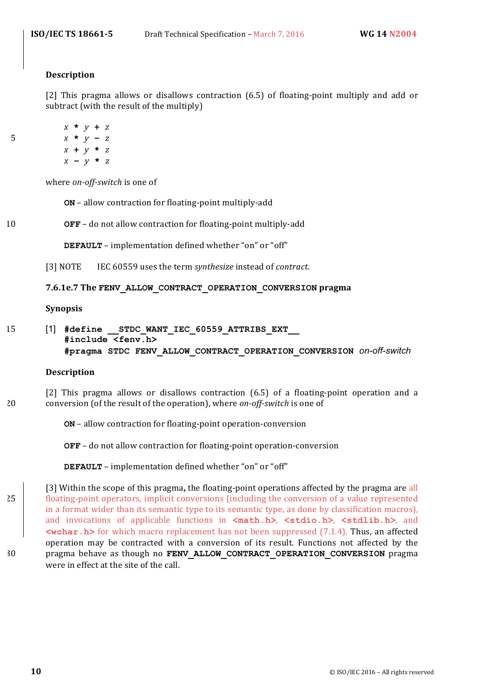#### **Description**

[2] This pragma allows or disallows contraction (6.5) of floating-point multiply and add or subtract (with the result of the multiply)

$$
x * y + z
$$
\n
$$
x * y - z
$$
\n
$$
x + y * z
$$
\n
$$
x - y * z
$$

where *on-off-switch* is one of

**ON** - allow contraction for floating-point multiply-add

10 **OFF** – do not allow contraction for floating-point multiply-add

**DEFAULT** – implementation defined whether "on" or "off"

[3] NOTE IEC 60559 uses the term *synthesize* instead of *contract*.

#### **7.6.1e.7 The FENV\_ALLOW\_CONTRACT\_OPERATION\_CONVERSION pragma**

#### **Synopsis**

15 [1] **#define \_\_STDC\_WANT\_IEC\_60559\_ATTRIBS\_EXT\_\_ #include <fenv.h> #pragma STDC FENV\_ALLOW\_CONTRACT\_OPERATION\_CONVERSION** *on-off-switch*

#### **Description**

[2] This pragma allows or disallows contraction (6.5) of a floating-point operation and a 20 conversion (of the result of the operation), where *on-off-switch* is one of

**ON** – allow contraction for floating-point operation-conversion

**OFF** – do not allow contraction for floating-point operation-conversion

**DEFAULT** – implementation defined whether "on" or "off"

[3] Within the scope of this pragma, the floating-point operations affected by the pragma are all 25 **floating-point operators, implicit conversions (including the conversion of a value represented** in a format wider than its semantic type to its semantic type, as done by classification macros), and invocations of applicable functions in  $\text{ $math.h}$ , \n $\text{<} statio.h$ , \n $\text{<} statlib.h$ , and$  $\leq$ **wchar.h>** for which macro replacement has not been suppressed (7.1.4). Thus, an affected operation may be contracted with a conversion of its result. Functions not affected by the 30 pragma behave as though no FENV ALLOW CONTRACT OPERATION CONVERSION pragma were in effect at the site of the call.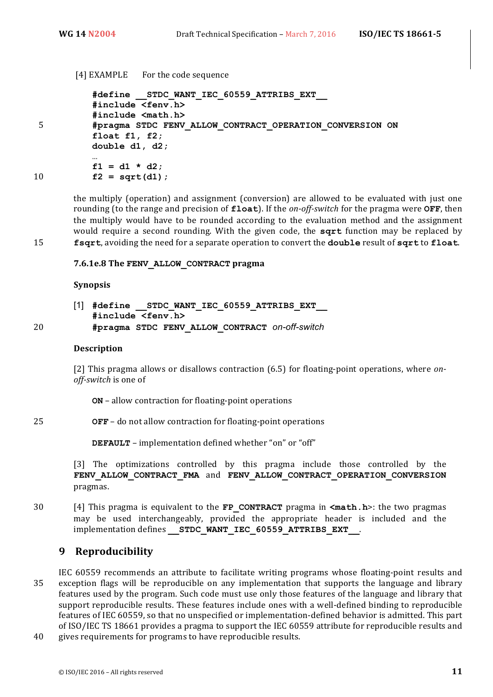[4] EXAMPLE For the code sequence

**#define \_\_STDC\_WANT\_IEC\_60559\_ATTRIBS\_EXT\_\_ #include <fenv.h> #include <math.h>** 5 **#pragma STDC FENV\_ALLOW\_CONTRACT\_OPERATION\_CONVERSION ON float f1, f2; double d1, d2; … f1 = d1 \* d2;** 10 **f2 = sqrt(d1);**

the multiply (operation) and assignment (conversion) are allowed to be evaluated with just one rounding (to the range and precision of **float**). If the *on-off-switch* for the pragma were **OFF**, then the multiply would have to be rounded according to the evaluation method and the assignment would require a second rounding. With the given code, the sqrt function may be replaced by 15 **fsqrt**, avoiding the need for a separate operation to convert the **double** result of sqrt to float.

#### **7.6.1e.8 The FENV\_ALLOW\_CONTRACT pragma**

#### **Synopsis**

[1] **#define \_\_STDC\_WANT\_IEC\_60559\_ATTRIBS\_EXT\_\_ #include <fenv.h>** 20 **#pragma STDC FENV\_ALLOW\_CONTRACT** *on-off-switch*

#### **Description**

[2] This pragma allows or disallows contraction (6.5) for floating-point operations, where *onoff-switch* is one of

**ON** – allow contraction for floating-point operations

#### 25 **OFF** – do not allow contraction for floating-point operations

**DEFAULT** – implementation defined whether "on" or "off"

[3] The optimizations controlled by this pragma include those controlled by the FENV ALLOW CONTRACT FMA and FENV ALLOW CONTRACT OPERATION CONVERSION pragmas.

30 [4] This pragma is equivalent to the **FP** CONTRACT pragma in  $\text{ $math.h$ }>$ : the two pragmas may be used interchangeably, provided the appropriate header is included and the implementation defines **\_\_STDC\_WANT\_IEC\_60559\_ATTRIBS\_EXT\_\_**.

#### **9 Reproducibility**

IEC 60559 recommends an attribute to facilitate writing programs whose floating-point results and 35 exception flags will be reproducible on any implementation that supports the language and library features used by the program. Such code must use only those features of the language and library that support reproducible results. These features include ones with a well-defined binding to reproducible features of IEC 60559, so that no unspecified or implementation-defined behavior is admitted. This part of ISO/IEC TS 18661 provides a pragma to support the IEC 60559 attribute for reproducible results and

40 gives requirements for programs to have reproducible results.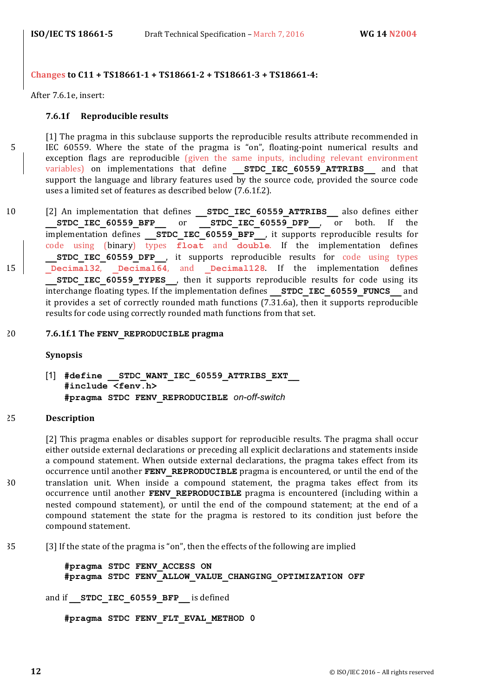#### **Changes to C11 + TS18661-1 + TS18661-2 + TS18661-3 + TS18661-4:**

After 7.6.1e, insert:

#### **7.6.1f** Reproducible results

[1] The pragma in this subclause supports the reproducible results attribute recommended in 5 IEC 60559. Where the state of the pragma is "on", floating-point numerical results and exception flags are reproducible (given the same inputs, including relevant environment variables) on implementations that define **STDC IEC 60559 ATTRIBS** and that support the language and library features used by the source code, provided the source code uses a limited set of features as described below (7.6.1f.2).

- 10 [2] An implementation that defines **STDC\_IEC\_60559\_ATTRIBS** also defines either **STDC\_IEC\_60559\_BFP\_\_\_\_\_ or STDC\_IEC\_60559\_DFP\_\_, or both.** If the implementation defines **STDC\_IEC\_60559\_BFP\_\_**, it supports reproducible results for code using (binary) types **float** and **double**. If the implementation defines **STDC IEC 60559 DFP**, it supports reproducible results for code using types 15 **Decimal32**, **Decimal64**, and **Decimal128**. If the implementation defines **STDC IEC 60559 TYPES**, then it supports reproducible results for code using its interchange floating types. If the implementation defines **STDC IEC 60559 FUNCS** and it provides a set of correctly rounded math functions  $(7.31.6a)$ , then it supports reproducible results for code using correctly rounded math functions from that set.
- 20 7.6.1f.1 The FENV REPRODUCIBLE pragma

**Synopsis**

[1] **#define \_\_STDC\_WANT\_IEC\_60559\_ATTRIBS\_EXT\_\_ #include <fenv.h> #pragma STDC FENV\_REPRODUCIBLE** *on-off-switch*

#### 25 **Description**

[2] This pragma enables or disables support for reproducible results. The pragma shall occur either outside external declarations or preceding all explicit declarations and statements inside a compound statement. When outside external declarations, the pragma takes effect from its occurrence until another **FENV** REPRODUCIBLE pragma is encountered, or until the end of the 30 translation unit. When inside a compound statement, the pragma takes effect from its occurrence until another **FENV REPRODUCIBLE** pragma is encountered (including within a nested compound statement), or until the end of the compound statement; at the end of a compound statement the state for the pragma is restored to its condition just before the compound statement.

35 [3] If the state of the pragma is "on", then the effects of the following are implied

**#pragma STDC FENV\_ACCESS ON #pragma STDC FENV\_ALLOW\_VALUE\_CHANGING\_OPTIMIZATION OFF**

and if **STDC IEC 60559 BFP** is defined

**#pragma STDC FENV\_FLT\_EVAL\_METHOD 0**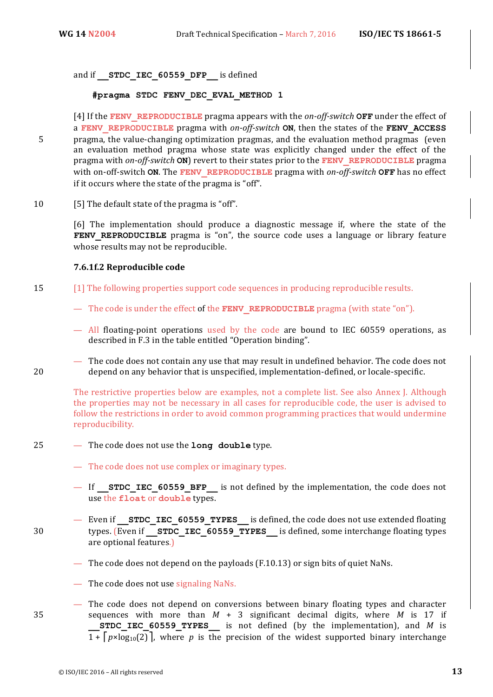and if **STDC IEC 60559 DFP** is defined

**#pragma STDC FENV\_DEC\_EVAL\_METHOD 1** 

[4] If the **FENV** REPRODUCIBLE pragma appears with the *on-off-switch* **OFF** under the effect of a **FENV** REPRODUCIBLE pragma with *on-off-switch* **ON**, then the states of the **FENV** ACCESS 5 pragma, the value-changing optimization pragmas, and the evaluation method pragmas (even an evaluation method pragma whose state was explicitly changed under the effect of the **pragma** with *on-off-switch* **ON**) revert to their states prior to the **FENV** REPRODUCIBLE pragma with on-off-switch ON. The FENV\_REPRODUCIBLE pragma with on-off-switch OFF has no effect if it occurs where the state of the pragma is "off".

10 [5] The default state of the pragma is "off".

[6] The implementation should produce a diagnostic message if, where the state of the **FENV REPRODUCIBLE** pragma is "on", the source code uses a language or library feature whose results may not be reproducible.

#### **7.6.1f.2 Reproducible code**

- 15 [1] The following properties support code sequences in producing reproducible results.
	- The code is under the effect of the **FENV** REPRODUCIBLE pragma (with state "on").
	- $-$  All floating-point operations used by the code are bound to IEC 60559 operations, as described in F.3 in the table entitled "Operation binding".
- The code does not contain any use that may result in undefined behavior. The code does not 20 depend on any behavior that is unspecified, implementation-defined, or locale-specific.

The restrictive properties below are examples, not a complete list. See also Annex J. Although the properties may not be necessary in all cases for reproducible code, the user is advised to follow the restrictions in order to avoid common programming practices that would undermine reproducibility. 

- 25 The code does not use the **long double** type.
	- The code does not use complex or imaginary types.
	- If **STDC IEC 60559 BFP** is not defined by the implementation, the code does not use the **float** or **double** types.
- Even if **STDC IEC 60559 TYPES** is defined, the code does not use extended floating 30 types. (Even if **STDC IEC 60559 TYPES** is defined, some interchange floating types are optional features.)
	- The code does not depend on the payloads  $(F.10.13)$  or sign bits of quiet NaNs.
	- $-$  The code does not use signaling NaNs.
- The code does not depend on conversions between binary floating types and character 35 sequences with more than  $M + 3$  significant decimal digits, where  $M$  is 17 if **STDC IEC 60559 TYPES** is not defined (by the implementation), and *M* is  $1 + \lceil p \times \log_{10}(2) \rceil$ , where p is the precision of the widest supported binary interchange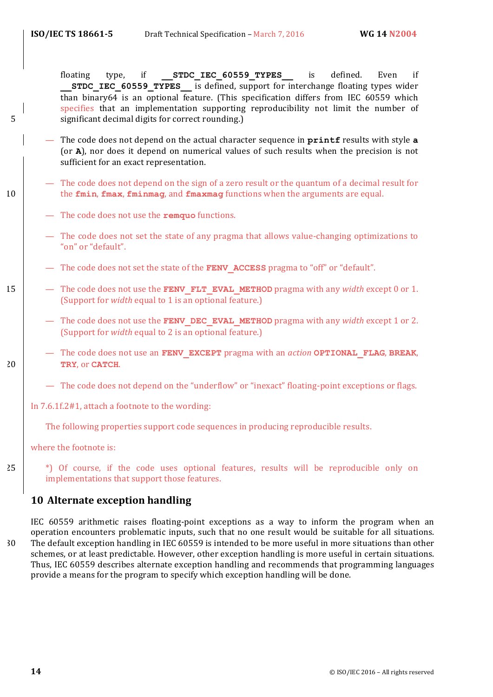floating type, if **STDC\_IEC\_60559\_TYPES** is defined. Even if **STDC\_IEC\_60559\_TYPES\_\_\_** is defined, support for interchange floating types wider than binary64 is an optional feature. (This specification differs from IEC 60559 which specifies that an implementation supporting reproducibility not limit the number of 5 significant decimal digits for correct rounding.)

- The code does not depend on the actual character sequence in **printf** results with style **a** (or **A**), nor does it depend on numerical values of such results when the precision is not sufficient for an exact representation.
- The code does not depend on the sign of a zero result or the quantum of a decimal result for 10 the **fmin**, **fmax**, **fminmag**, and **fmaxmag** functions when the arguments are equal.
	- The code does not use the **remquo** functions.
	- The code does not set the state of any pragma that allows value-changing optimizations to "on" or "default".
	- The code does not set the state of the **FENV ACCESS** pragma to "off" or "default".
- 15 The code does not use the **FENV FLT EVAL METHOD** pragma with any *width* except 0 or 1. (Support for *width* equal to 1 is an optional feature.)
	- The code does not use the **FENV DEC EVAL METHOD** pragma with any *width* except 1 or 2. (Support for *width* equal to 2 is an optional feature.)
- $-$  The code does not use an **FENV** EXCEPT pragma with an *action* **OPTIONAL** FLAG, BREAK, 20 **TRY**, or **CATCH**.
	- The code does not depend on the "underflow" or "inexact" floating-point exceptions or flags.
	- In  $7.6.1f.2#1$ , attach a footnote to the wording:

The following properties support code sequences in producing reproducible results.

where the footnote is:

25  $\vert$   $\vert$   $\vert$   $\vert$   $\vert$   $\vert$  Of course, if the code uses optional features, results will be reproducible only on implementations that support those features.

#### **10 Alternate exception handling**

IEC 60559 arithmetic raises floating-point exceptions as a way to inform the program when an operation encounters problematic inputs, such that no one result would be suitable for all situations. 30 The default exception handling in IEC 60559 is intended to be more useful in more situations than other schemes, or at least predictable. However, other exception handling is more useful in certain situations. Thus, IEC 60559 describes alternate exception handling and recommends that programming languages provide a means for the program to specify which exception handling will be done.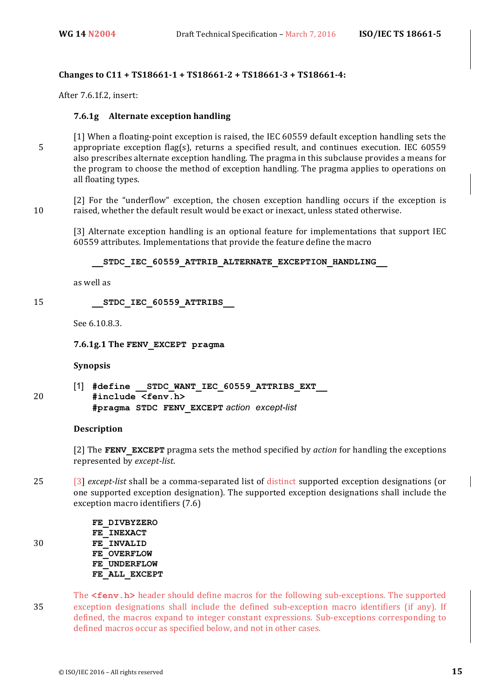#### **Changes to C11 + TS18661-1 + TS18661-2 + TS18661-3 + TS18661-4:**

After 7.6.1f.2, insert:

#### **7.6.1g Alternate exception handling**

 $[1]$  When a floating-point exception is raised, the IEC 60559 default exception handling sets the 5 appropriate exception flag(s), returns a specified result, and continues execution. IEC 60559 also prescribes alternate exception handling. The pragma in this subclause provides a means for the program to choose the method of exception handling. The pragma applies to operations on all floating types.

[2] For the "underflow" exception, the chosen exception handling occurs if the exception is 10 raised, whether the default result would be exact or inexact, unless stated otherwise.

[3] Alternate exception handling is an optional feature for implementations that support IEC 60559 attributes. Implementations that provide the feature define the macro

STDC IEC 60559 ATTRIB ALTERNATE EXCEPTION HANDLING

as well as

15 **\_\_STDC\_IEC\_60559\_ATTRIBS\_\_**

See 6.10.8.3.

**7.6.1g.1 The FENV\_EXCEPT pragma**

**Synopsis**

[1] **#define \_\_STDC\_WANT\_IEC\_60559\_ATTRIBS\_EXT\_\_** 20 **#include <fenv.h> #pragma STDC FENV\_EXCEPT** *action except-list*

#### **Description**

[2] The **FENV** EXCEPT pragma sets the method specified by *action* for handling the exceptions represented by *except-list*. 

25 [3] *except-list* shall be a comma-separated list of distinct supported exception designations (or one supported exception designation). The supported exception designations shall include the exception macro identifiers (7.6)

**FE\_DIVBYZERO FE\_INEXACT** 30 **FE\_INVALID FE\_OVERFLOW FE\_UNDERFLOW FE\_ALL\_EXCEPT**

The **<fenv.h>** header should define macros for the following sub-exceptions. The supported 35 exception designations shall include the defined sub-exception macro identifiers (if any). If defined, the macros expand to integer constant expressions. Sub-exceptions corresponding to defined macros occur as specified below, and not in other cases.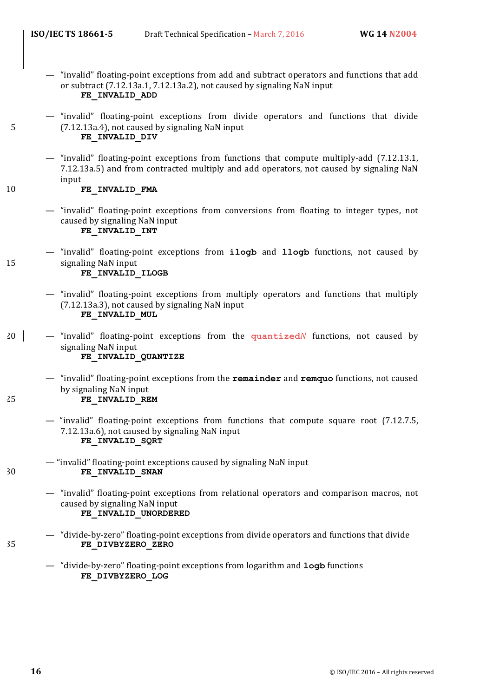- "invalid" floating-point exceptions from add and subtract operators and functions that add or subtract  $(7.12.13a.1, 7.12.13a.2)$ , not caused by signaling NaN input **FE\_INVALID\_ADD**
- "invalid" floating-point exceptions from divide operators and functions that divide 5 (7.12.13a.4), not caused by signaling NaN input **FE\_INVALID\_DIV**
	- "invalid" floating-point exceptions from functions that compute multiply-add (7.12.13.1, 7.12.13a.5) and from contracted multiply and add operators, not caused by signaling NaN input

10 **FE\_INVALID\_FMA** 

- "invalid" floating-point exceptions from conversions from floating to integer types, not caused by signaling NaN input **FE\_INVALID\_INT**
- "invalid" floating-point exceptions from **ilogb** and **llogb** functions, not caused by 15 signaling NaN input **FE\_INVALID\_ILOGB**
	- "invalid" floating-point exceptions from multiply operators and functions that multiply  $(7.12.13a.3)$ , not caused by signaling NaN input **FE\_INVALID\_MUL**
- 20 "invalid" floating-point exceptions from the **quantized***N* functions, not caused by signaling NaN input **FE\_INVALID\_QUANTIZE**
- "invalid" floating-point exceptions from the **remainder** and **remquo** functions, not caused by signaling NaN input 25 **FE\_INVALID\_REM**
	- "invalid" floating-point exceptions from functions that compute square root  $(7.12.7.5,$ 7.12.13a.6), not caused by signaling NaN input **FE\_INVALID\_SQRT**
- "invalid" floating-point exceptions caused by signaling NaN input 30 **FE\_INVALID\_SNAN** 
	- "invalid" floating-point exceptions from relational operators and comparison macros, not caused by signaling NaN input **FE\_INVALID\_UNORDERED**
- $-$  "divide-by-zero" floating-point exceptions from divide operators and functions that divide 35 **FE\_DIVBYZERO\_ZERO**
	- $-$  "divide-by-zero" floating-point exceptions from logarithm and **logb** functions **FE\_DIVBYZERO\_LOG**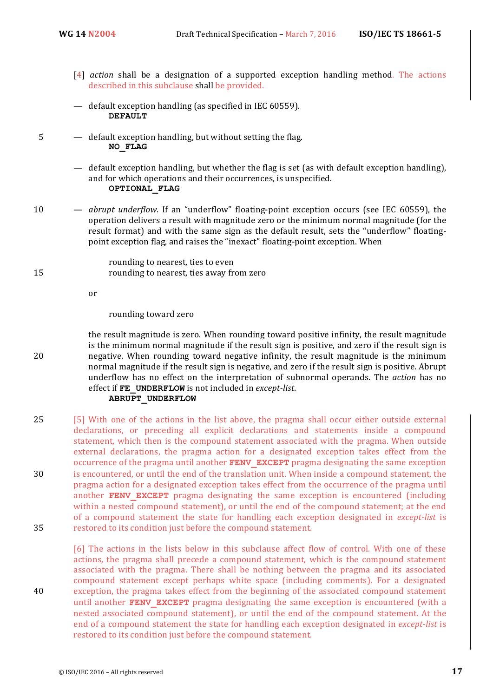- [4] *action* shall be a designation of a supported exception handling method. The actions described in this subclause shall be provided.
- default exception handling (as specified in IEC 60559). **DEFAULT**
- $5 -$  default exception handling, but without setting the flag. **NO\_FLAG**

rounding to nearest, ties to even

- default exception handling, but whether the flag is set (as with default exception handling), and for which operations and their occurrences, is unspecified. **OPTIONAL\_FLAG**
- 10 *abrupt* underflow. If an "underflow" floating-point exception occurs (see IEC 60559), the operation delivers a result with magnitude zero or the minimum normal magnitude (for the result format) and with the same sign as the default result, sets the "underflow" floatingpoint exception flag, and raises the "inexact" floating-point exception. When

15 rounding to nearest, ties away from zero

or

rounding toward zero

the result magnitude is zero. When rounding toward positive infinity, the result magnitude is the minimum normal magnitude if the result sign is positive, and zero if the result sign is 20 negative. When rounding toward negative infinity, the result magnitude is the minimum normal magnitude if the result sign is negative, and zero if the result sign is positive. Abrupt underflow has no effect on the interpretation of subnormal operands. The *action* has no effect if **FE\_UNDERFLOW** is not included in *except-list*.

#### **ABRUPT\_UNDERFLOW**

25 [5] With one of the actions in the list above, the pragma shall occur either outside external declarations, or preceding all explicit declarations and statements inside a compound statement, which then is the compound statement associated with the pragma. When outside external declarations, the pragma action for a designated exception takes effect from the occurrence of the pragma until another **FENV EXCEPT** pragma designating the same exception 30 is encountered, or until the end of the translation unit. When inside a compound statement, the pragma action for a designated exception takes effect from the occurrence of the pragma until another **FENV EXCEPT** pragma designating the same exception is encountered (including within a nested compound statement), or until the end of the compound statement; at the end of a compound statement the state for handling each exception designated in *except-list* is 35 restored to its condition just before the compound statement.

[6] The actions in the lists below in this subclause affect flow of control. With one of these actions, the pragma shall precede a compound statement, which is the compound statement associated with the pragma. There shall be nothing between the pragma and its associated compound statement except perhaps white space (including comments). For a designated 40 exception, the pragma takes effect from the beginning of the associated compound statement until another **FENV EXCEPT** pragma designating the same exception is encountered (with a nested associated compound statement), or until the end of the compound statement. At the end of a compound statement the state for handling each exception designated in *except-list* is restored to its condition just before the compound statement.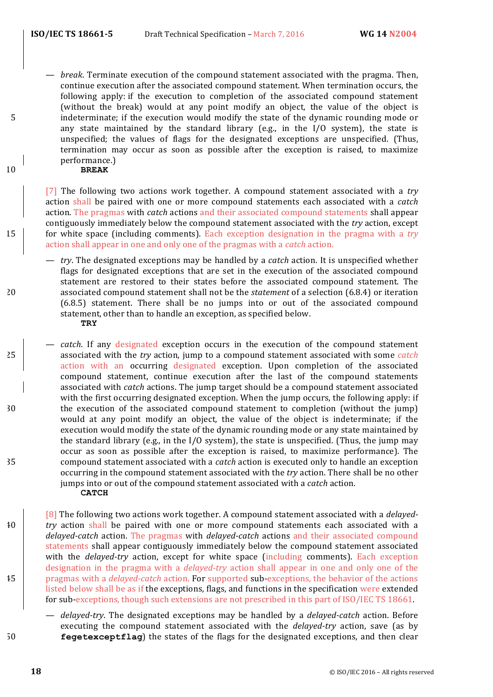*break*. Terminate execution of the compound statement associated with the pragma. Then, continue execution after the associated compound statement. When termination occurs, the following apply: if the execution to completion of the associated compound statement (without the break) would at any point modify an object, the value of the object is 5 indeterminate; if the execution would modify the state of the dynamic rounding mode or any state maintained by the standard library (e.g., in the  $I/O$  system), the state is unspecified; the values of flags for the designated exceptions are unspecified. (Thus, termination may occur as soon as possible after the exception is raised, to maximize performance.)

#### 10 **BREAK**

[7] The following two actions work together. A compound statement associated with a *try* action shall be paired with one or more compound statements each associated with a *catch* action. The pragmas with *catch* actions and their associated compound statements shall appear contiguously immediately below the compound statement associated with the *try* action, except 15 for white space (including comments). Each exception designation in the pragma with a *try* action shall appear in one and only one of the pragmas with a *catch* action.

- *try*. The designated exceptions may be handled by a *catch* action. It is unspecified whether flags for designated exceptions that are set in the execution of the associated compound statement are restored to their states before the associated compound statement. The 20 associated compound statement shall not be the *statement* of a selection (6.8.4) or iteration (6.8.5) statement. There shall be no jumps into or out of the associated compound statement, other than to handle an exception, as specified below. **TRY**
- *catch*. If any designated exception occurs in the execution of the compound statement associated with the *try* action, jump to a compound statement associated with some *catch* action with an occurring designated exception. Upon completion of the associated compound statement, continue execution after the last of the compound statements associated with *catch* actions. The jump target should be a compound statement associated with the first occurring designated exception. When the jump occurs, the following apply: if 30 the execution of the associated compound statement to completion (without the jump) would at any point modify an object, the value of the object is indeterminate; if the execution would modify the state of the dynamic rounding mode or any state maintained by the standard library (e.g., in the  $I/O$  system), the state is unspecified. (Thus, the jump may occur as soon as possible after the exception is raised, to maximize performance). The 35 compound statement associated with a *catch* action is executed only to handle an exception occurring in the compound statement associated with the *try* action. There shall be no other jumps into or out of the compound statement associated with a *catch* action. **CATCH**
- [8] The following two actions work together. A compound statement associated with a *delayed*-<sup>40</sup> *try* action shall be paired with one or more compound statements each associated with a *delayed-catch* action. The pragmas with *delayed-catch* actions and their associated compound statements shall appear contiguously immediately below the compound statement associated with the *delayed-try* action, except for white space (including comments). Each exception designation in the pragma with a *delayed-try* action shall appear in one and only one of the <sup>45</sup> pragmas with a *delayed-catch* action. For supported sub-exceptions, the behavior of the actions listed below shall be as if the exceptions, flags, and functions in the specification were extended for sub-exceptions, though such extensions are not prescribed in this part of ISO/IEC TS 18661.
- delayed-try. The designated exceptions may be handled by a *delayed-catch* action. Before executing the compound statement associated with the *delayed-try* action, save (as by 50 **fegetexceptflag**) the states of the flags for the designated exceptions, and then clear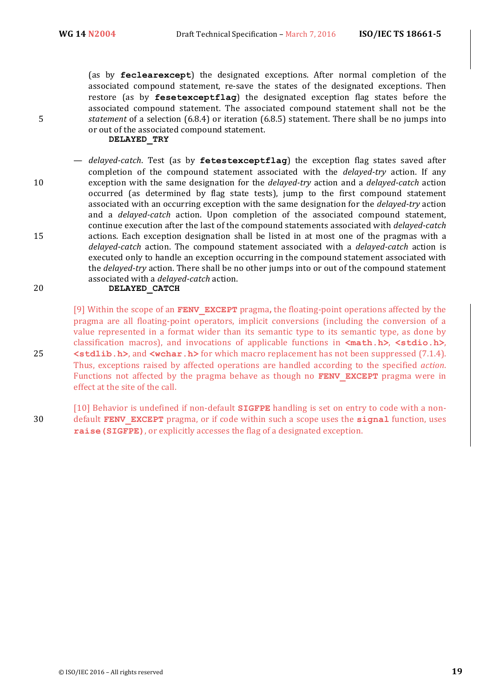(as by **feclearexcept**) the designated exceptions. After normal completion of the associated compound statement, re-save the states of the designated exceptions. Then restore (as by **fesetexceptflag**) the designated exception flag states before the associated compound statement. The associated compound statement shall not be the 5 *statement* of a selection (6.8.4) or iteration (6.8.5) statement. There shall be no jumps into or out of the associated compound statement.

#### **DELAYED\_TRY**

 $-$  *delayed-catch*. Test (as by **fetestexceptflag**) the exception flag states saved after completion of the compound statement associated with the *delayed-try* action. If any 10 exception with the same designation for the *delayed-try* action and a *delayed-catch* action occurred (as determined by flag state tests), jump to the first compound statement associated with an occurring exception with the same designation for the *delayed-try* action and a *delayed-catch* action. Upon completion of the associated compound statement, continue execution after the last of the compound statements associated with *delayed-catch* 15 actions. Each exception designation shall be listed in at most one of the pragmas with a *delayed-catch* action. The compound statement associated with a *delayed-catch* action is executed only to handle an exception occurring in the compound statement associated with the *delayed-try* action. There shall be no other jumps into or out of the compound statement associated with a *delayed-catch* action.

20 **DELAYED\_CATCH**

[9] Within the scope of an **FENV** EXCEPT pragma, the floating-point operations affected by the pragma are all floating-point operators, implicit conversions (including the conversion of a value represented in a format wider than its semantic type to its semantic type, as done by classification macros), and invocations of applicable functions in  $\text{ $m$ ath.h>$ ,  $\text{<} stdio.h>$ , 25  $\leq$  **stdlib.h>**, and  $\leq$ wchar.h> for which macro replacement has not been suppressed (7.1.4). Thus, exceptions raised by affected operations are handled according to the specified *action*. Functions not affected by the pragma behave as though no **FENV EXCEPT** pragma were in effect at the site of the call.

[10] Behavior is undefined if non-default **SIGFPE** handling is set on entry to code with a non-**30** default **FENV EXCEPT** pragma, or if code within such a scope uses the **signal** function, uses **raise (SIGFPE)**, or explicitly accesses the flag of a designated exception.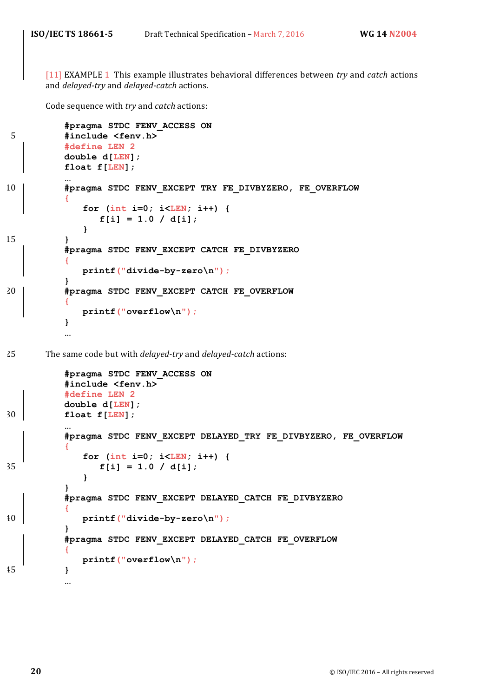[11] EXAMPLE 1 This example illustrates behavioral differences between *try* and *catch* actions and *delayed-try* and *delayed-catch* actions.

Code sequence with *try* and *catch* actions:

```
#pragma STDC FENV_ACCESS ON
5 #include <fenv.h>
          #define LEN 2
          double d[LEN];
          float f[LEN];
          …
10 #pragma STDC FENV_EXCEPT TRY FE_DIVBYZERO, FE_OVERFLOW
          {
             for (int i=0; i<LEN; i++) {
                f[i] = 1.0 / d[i];
             }
15 }
          #pragma STDC FENV_EXCEPT CATCH FE_DIVBYZERO
          {
             printf("divide-by-zero\n");
          }
20 #pragma STDC FENV_EXCEPT CATCH FE_OVERFLOW
          {
             printf("overflow\n");
          }
          …
25 The same code but with delayed-try and delayed-catch actions:
          #pragma STDC FENV_ACCESS ON
          #include <fenv.h>
          #define LEN 2
          double d[LEN];
30 float f[LEN];
          …
          #pragma STDC FENV_EXCEPT DELAYED_TRY FE_DIVBYZERO, FE_OVERFLOW
          {
             for (int i=0; i<LEN; i++) {
35 f[i] = 1.0 / d[i];
             }
          }
          #pragma STDC FENV_EXCEPT DELAYED_CATCH FE_DIVBYZERO
          {
40 printf("divide-by-zero\n");
          }
          #pragma STDC FENV_EXCEPT DELAYED_CATCH FE_OVERFLOW
          {
             printf("overflow\n");
45 }
```
…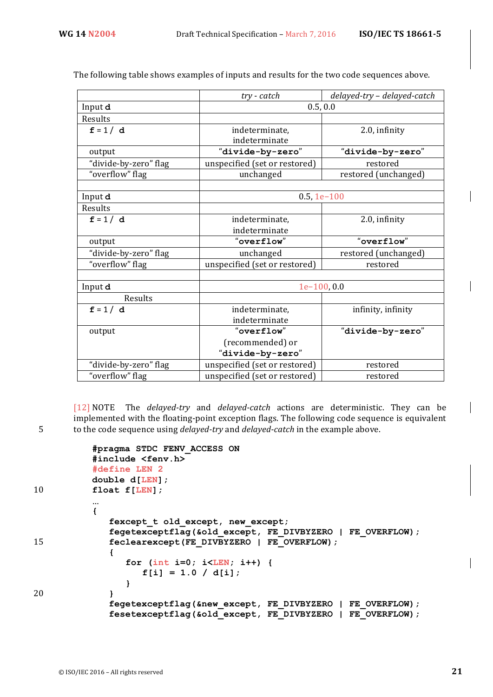The following table shows examples of inputs and results for the two code sequences above.

|                       | $try$ - $catch$               | delayed-try - delayed-catch |  |
|-----------------------|-------------------------------|-----------------------------|--|
| Input d               | 0.5, 0.0                      |                             |  |
| Results               |                               |                             |  |
| $f = 1/d$             | indeterminate,                | 2.0, infinity               |  |
|                       | indeterminate                 |                             |  |
| output                | "divide-by-zero"              | "divide-by-zero"            |  |
| "divide-by-zero" flag | unspecified (set or restored) | restored                    |  |
| "overflow" flag       | unchanged                     | restored (unchanged)        |  |
|                       |                               |                             |  |
| Input d               | $0.5, 1e-100$                 |                             |  |
| Results               |                               |                             |  |
| $f = 1/d$             | indeterminate,                | 2.0, infinity               |  |
|                       | indeterminate                 |                             |  |
| output                | "overflow"                    | "overflow"                  |  |
| "divide-by-zero" flag | unchanged                     | restored (unchanged)        |  |
| "overflow" flag       | unspecified (set or restored) | restored                    |  |
|                       |                               |                             |  |
| Input d               | $1e-100, 0.0$                 |                             |  |
| Results               |                               |                             |  |
| $f = 1/d$             | indeterminate,                | infinity, infinity          |  |
|                       | indeterminate                 |                             |  |
| output                | "overflow"                    | "divide-by-zero"            |  |
|                       | (recommended) or              |                             |  |
|                       | "divide-by-zero"              |                             |  |
| "divide-by-zero" flag | unspecified (set or restored) | restored                    |  |
| "overflow" flag       | unspecified (set or restored) | restored                    |  |

[12] NOTE The *delayed-try* and *delayed-catch* actions are deterministic. They can be implemented with the floating-point exception flags. The following code sequence is equivalent 5 to the code sequence using *delayed-try* and *delayed-catch* in the example above.

```
#pragma STDC FENV_ACCESS ON
          #include <fenv.h>
          #define LEN 2
          double d[LEN];
10 float f[LEN];
          …
          {
             fexcept_t old_except, new_except;
             fegetexceptflag(&old_except, FE_DIVBYZERO | FE_OVERFLOW);
15 feclearexcept (FE DIVBYZERO | FE_OVERFLOW);
             {
                for (int i=0; i<LEN; i++) {
                   f[i] = 1.0 / d[i];
                }
20 }
             fegetexceptflag(&new_except, FE_DIVBYZERO | FE_OVERFLOW);
             fesetexceptflag(&old_except, FE_DIVBYZERO | FE_OVERFLOW);
```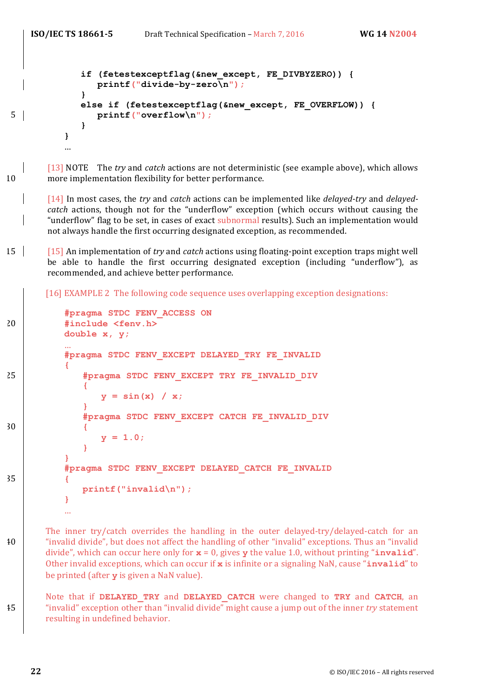```
if (fetestexceptflag(&new_except, FE_DIVBYZERO)) {
               printf("divide-by-zero\n");
            }
            else if (fetestexceptflag(&new_except, FE_OVERFLOW)) {
5 printf("overflow\n");
            }
         }
         …
```
[13] NOTE The *try* and *catch* actions are not deterministic (see example above), which allows 10 more implementation flexibility for better performance.

[14] In most cases, the *try* and *catch* actions can be implemented like *delayed-try* and *delayedcatch* actions, though not for the "underflow" exception (which occurs without causing the "underflow" flag to be set, in cases of exact subnormal results). Such an implementation would not always handle the first occurring designated exception, as recommended.

15 | [15] An implementation of *try* and *catch* actions using floating-point exception traps might well be able to handle the first occurring designated exception (including "underflow"), as recommended, and achieve better performance.

[16] EXAMPLE 2 The following code sequence uses overlapping exception designations:

```
#pragma STDC FENV_ACCESS ON
20 #include <fenv.h>
         double x, y;
          …
          #pragma STDC FENV_EXCEPT DELAYED_TRY FE_INVALID
          {
25 #pragma STDC FENV_EXCEPT TRY FE_INVALID_DIV
             {
                y = sin(x) / x;
             }
             #pragma STDC FENV_EXCEPT CATCH FE_INVALID_DIV
30 {
                y = 1.0;
             }
          }
         #pragma STDC FENV_EXCEPT DELAYED_CATCH FE_INVALID
35 {
             printf("invalid\n");
         }
         …
```
The inner try/catch overrides the handling in the outer delayed-try/delayed-catch for an 40 "invalid divide", but does not affect the handling of other "invalid" exceptions. Thus an "invalid" divide", which can occur here only for  $\mathbf{x} = 0$ , gives  $\mathbf{y}$  the value 1.0, without printing "**invalid**". Other invalid exceptions, which can occur if **x** is infinite or a signaling NaN, cause "**invalid**" to be printed (after **y** is given a NaN value).

Note that if DELAYED TRY and DELAYED CATCH were changed to TRY and CATCH, an 45 "invalid" exception other than "invalid divide" might cause a jump out of the inner *try* statement resulting in undefined behavior.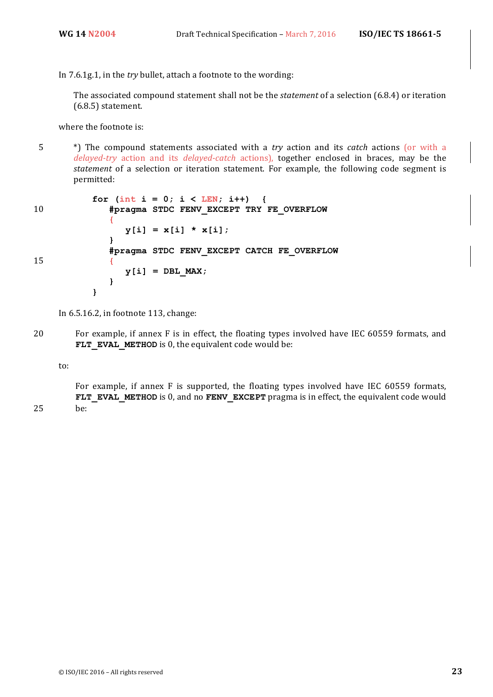In 7.6.1g.1, in the *try* bullet, attach a footnote to the wording:

The associated compound statement shall not be the *statement* of a selection (6.8.4) or iteration  $(6.8.5)$  statement.

where the footnote is:

5 \*) The compound statements associated with a *try* action and its *catch* actions (or with a *delayed-try* action and its *delayed-catch* actions), together enclosed in braces, may be the *statement* of a selection or iteration statement. For example, the following code segment is permitted:

```
for (int i = 0; i < LEN; i++) {
10 #pragma STDC FENV_EXCEPT TRY FE_OVERFLOW
             {
                y[i] = x[i] * x[i];}
             #pragma STDC FENV_EXCEPT CATCH FE_OVERFLOW
15 {
                y[i] = DBL MAX;}
          }
```
In  $6.5.16.2$ , in footnote  $113$ , change:

20 For example, if annex F is in effect, the floating types involved have IEC 60559 formats, and **FLT** EVAL METHOD is 0, the equivalent code would be:

to:

For example, if annex F is supported, the floating types involved have IEC 60559 formats, **FLT\_EVAL\_METHOD** is 0, and no **FENV\_EXCEPT** pragma is in effect, the equivalent code would 25 be: